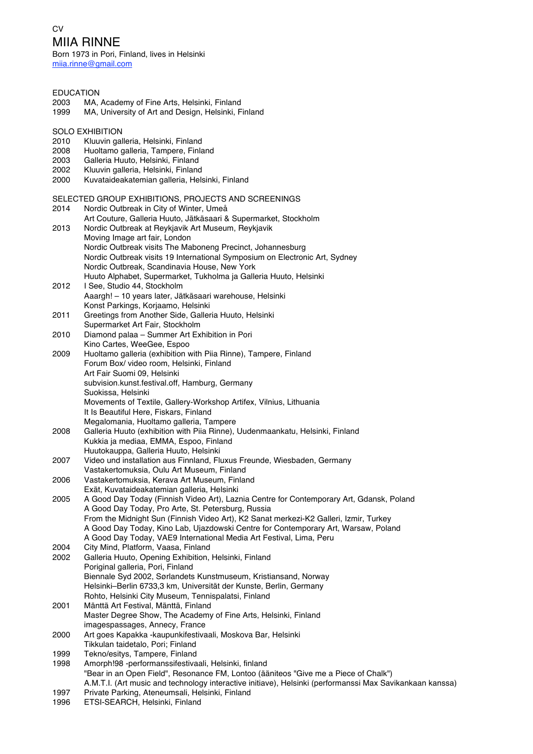## **CV** MIIA RINNE

Born 1973 in Pori, Finland, lives in Helsinki miia.rinne@gmail.com

| <b>EDUCATION</b> |                                                                                                          |
|------------------|----------------------------------------------------------------------------------------------------------|
| 2003             | MA, Academy of Fine Arts, Helsinki, Finland                                                              |
| 1999             | MA, University of Art and Design, Helsinki, Finland                                                      |
|                  |                                                                                                          |
|                  | <b>SOLO EXHIBITION</b>                                                                                   |
| 2010             | Kluuvin galleria, Helsinki, Finland                                                                      |
| 2008             | Huoltamo galleria, Tampere, Finland                                                                      |
| 2003             | Galleria Huuto, Helsinki, Finland                                                                        |
| 2002             | Kluuvin galleria, Helsinki, Finland                                                                      |
| 2000             | Kuvataideakatemian galleria, Helsinki, Finland                                                           |
|                  | SELECTED GROUP EXHIBITIONS, PROJECTS AND SCREENINGS                                                      |
| 2014             | Nordic Outbreak in City of Winter, Umeå                                                                  |
|                  | Art Couture, Galleria Huuto, Jätkäsaari & Supermarket, Stockholm                                         |
| 2013             | Nordic Outbreak at Reykjavik Art Museum, Reykjavik                                                       |
|                  | Moving Image art fair, London                                                                            |
|                  | Nordic Outbreak visits The Maboneng Precinct, Johannesburg                                               |
|                  | Nordic Outbreak visits 19 International Symposium on Electronic Art, Sydney                              |
|                  | Nordic Outbreak, Scandinavia House, New York                                                             |
|                  | Huuto Alphabet, Supermarket, Tukholma ja Galleria Huuto, Helsinki                                        |
| 2012             | I See, Studio 44, Stockholm                                                                              |
|                  | Aaargh! - 10 years later, Jätkäsaari warehouse, Helsinki                                                 |
|                  | Konst Parkings, Korjaamo, Helsinki                                                                       |
| 2011             | Greetings from Another Side, Galleria Huuto, Helsinki                                                    |
|                  | Supermarket Art Fair, Stockholm                                                                          |
| 2010             | Diamond palaa - Summer Art Exhibition in Pori                                                            |
|                  | Kino Cartes, WeeGee, Espoo                                                                               |
| 2009             | Huoltamo galleria (exhibition with Piia Rinne), Tampere, Finland                                         |
|                  | Forum Box/ video room, Helsinki, Finland<br>Art Fair Suomi 09, Helsinki                                  |
|                  | subvision.kunst.festival.off, Hamburg, Germany                                                           |
|                  | Suokissa, Helsinki                                                                                       |
|                  | Movements of Textile, Gallery-Workshop Artifex, Vilnius, Lithuania                                       |
|                  | It Is Beautiful Here, Fiskars, Finland                                                                   |
|                  | Megalomania, Huoltamo galleria, Tampere                                                                  |
| 2008             | Galleria Huuto (exhibition with Piia Rinne), Uudenmaankatu, Helsinki, Finland                            |
|                  | Kukkia ja mediaa, EMMA, Espoo, Finland                                                                   |
|                  | Huutokauppa, Galleria Huuto, Helsinki                                                                    |
| 2007             | Video und installation aus Finnland, Fluxus Freunde, Wiesbaden, Germany                                  |
|                  | Vastakertomuksia, Oulu Art Museum, Finland                                                               |
| 2006             | Vastakertomuksia, Kerava Art Museum, Finland                                                             |
|                  | Exät, Kuvataideakatemian galleria, Helsinki                                                              |
| 2005             | A Good Day Today (Finnish Video Art), Laznia Centre for Contemporary Art, Gdansk, Poland                 |
|                  | A Good Day Today, Pro Arte, St. Petersburg, Russia                                                       |
|                  | From the Midnight Sun (Finnish Video Art), K2 Sanat merkezi-K2 Galleri, Izmir, Turkey                    |
|                  | A Good Day Today, Kino Lab, Ujazdowski Centre for Contemporary Art, Warsaw, Poland                       |
|                  | A Good Day Today, VAE9 International Media Art Festival, Lima, Peru                                      |
| 2004             | City Mind, Platform, Vaasa, Finland                                                                      |
| 2002             | Galleria Huuto, Opening Exhibition, Helsinki, Finland                                                    |
|                  | Poriginal galleria, Pori, Finland<br>Biennale Syd 2002, Sørlandets Kunstmuseum, Kristiansand, Norway     |
|                  | Helsinki-Berlin 6733,3 km, Universität der Kunste, Berlin, Germany                                       |
|                  | Rohto, Helsinki City Museum, Tennispalatsi, Finland                                                      |
| 2001             | Mänttä Art Festival, Mänttä, Finland                                                                     |
|                  | Master Degree Show, The Academy of Fine Arts, Helsinki, Finland                                          |
|                  | imagespassages, Annecy, France                                                                           |
| 2000             | Art goes Kapakka -kaupunkifestivaali, Moskova Bar, Helsinki                                              |
|                  | Tikkulan taidetalo, Pori; Finland                                                                        |
| 1999             | Tekno/esitys, Tampere, Finland                                                                           |
| 1998             | Amorph!98 -performanssifestivaali, Helsinki, finland                                                     |
|                  | "Bear in an Open Field", Resonance FM, Lontoo (ääniteos "Give me a Piece of Chalk")                      |
|                  | A.M.T.I. (Art music and technology interactive initiave), Helsinki (performanssi Max Savikankaan kanssa) |
| 1997             | Private Parking, Ateneumsali, Helsinki, Finland                                                          |

1996 ETSI-SEARCH, Helsinki, Finland